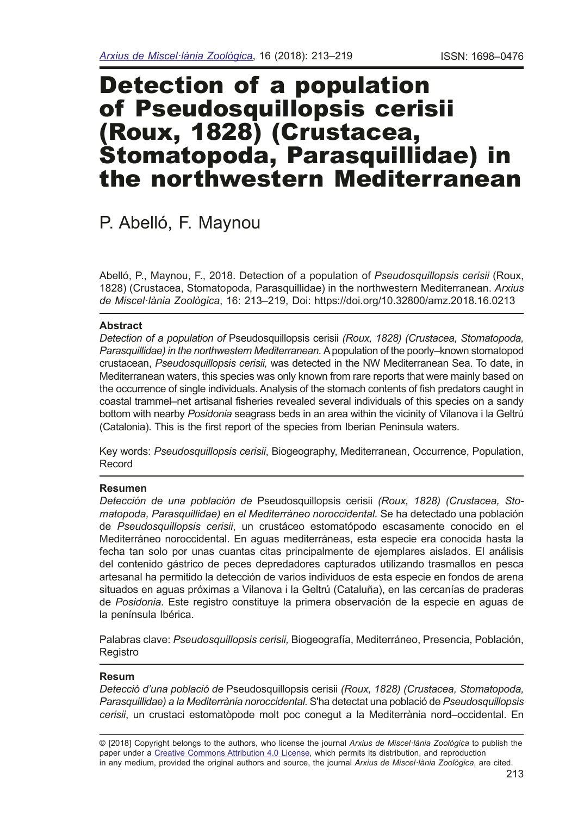# Detection of a population of Pseudosquillopsis cerisii (Roux, 1828) (Crustacea, Stomatopoda, Parasquillidae) in the northwestern Mediterranean

P. Abelló, F. Maynou

Abelló, P., Maynou, F., 2018. Detection of a population of *Pseudosquillopsis cerisii* (Roux, 1828) (Crustacea, Stomatopoda, Parasquillidae) in the northwestern Mediterranean. *Arxius de Miscel·lània Zoològica*, 16: 213–219, Doi: https://doi.org/10.32800/amz.2018.16.0213

# **Abstract**

*Detection of a population of* Pseudosquillopsis cerisii *(Roux, 1828) (Crustacea, Stomatopoda, Parasquillidae) in the northwestern Mediterranean.* A population of the poorly–known stomatopod crustacean, *Pseudosquillopsis cerisii,* was detected in the NW Mediterranean Sea. To date, in Mediterranean waters, this species was only known from rare reports that were mainly based on the occurrence of single individuals. Analysis of the stomach contents of fsh predators caught in coastal trammel–net artisanal fsheries revealed several individuals of this species on a sandy bottom with nearby *Posidonia* seagrass beds in an area within the vicinity of Vilanova i la Geltrú (Catalonia). This is the frst report of the species from Iberian Peninsula waters.

Key words: *Pseudosquillopsis cerisii*, Biogeography, Mediterranean, Occurrence, Population, Record

# **Resumen**

*Detección de una población de* Pseudosquillopsis cerisii *(Roux, 1828) (Crustacea, Stomatopoda, Parasquillidae) en el Mediterráneo noroccidental.* Se ha detectado una población de *Pseudosquillopsis cerisii*, un crustáceo estomatópodo escasamente conocido en el Mediterráneo noroccidental. En aguas mediterráneas, esta especie era conocida hasta la fecha tan solo por unas cuantas citas principalmente de ejemplares aislados. El análisis del contenido gástrico de peces depredadores capturados utilizando trasmallos en pesca artesanal ha permitido la detección de varios individuos de esta especie en fondos de arena situados en aguas próximas a Vilanova i la Geltrú (Cataluña), en las cercanías de praderas de *Posidonia*. Este registro constituye la primera observación de la especie en aguas de la península Ibérica.

Palabras clave: *Pseudosquillopsis cerisii,* Biogeografía, Mediterráneo, Presencia, Población, Registro

# **Resum**

*Detecció d'una població de* Pseudosquillopsis cerisii *(Roux, 1828) (Crustacea, Stomatopoda, Parasquillidae) a la Mediterrània noroccidental.* S'ha detectat una població de *Pseudosquillopsis cerisii*, un crustaci estomatòpode molt poc conegut a la Mediterrània nord–occidental. En

<sup>© [2018]</sup> Copyright belongs to the authors, who license the journal *Arxius de Miscel·lània Zoològica* to publish the paper under a [Creative Commons Attribution 4.0 License,](http://creativecommons.org/licenses/by/4.0/deed.en) which permits its distribution, and reproduction in any medium, provided the original authors and source, the journal *Arxius de Miscel·lània Zoològica*, are cited.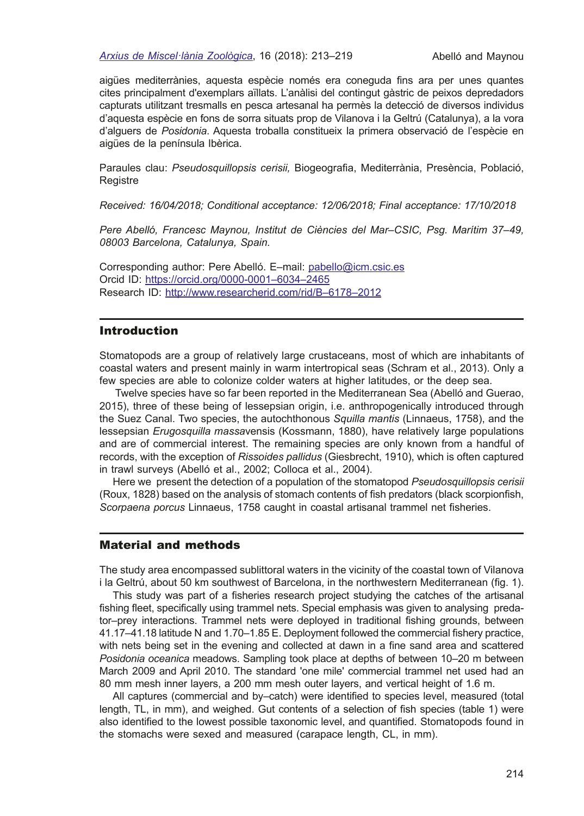#### *[Arxius de Miscel·lània Zoològica](http://amz.museucienciesjournals.cat)*, 16 (2018): 213–219 Abelló and Maynou

aigües mediterrànies, aquesta espècie només era coneguda fns ara per unes quantes cites principalment d'exemplars aïllats. L'anàlisi del contingut gàstric de peixos depredadors capturats utilitzant tresmalls en pesca artesanal ha permès la detecció de diversos individus d'aquesta espècie en fons de sorra situats prop de Vilanova i la Geltrú (Catalunya), a la vora d'alguers de *Posidonia*. Aquesta troballa constitueix la primera observació de l'espècie en aigües de la península Ibèrica.

Paraules clau: *Pseudosquillopsis cerisii,* Biogeografa, Mediterrània, Presència, Població, Registre

*Received: 16/04/2018; Conditional acceptance: 12/06/2018; Final acceptance: 17/10/2018*

*Pere Abelló, Francesc Maynou, Institut de Ciències del Mar–CSIC, Psg. Marítim 37–49, 08003 Barcelona, Catalunya, Spain.*

Corresponding author: Pere Abelló. E–mail: [pabello@icm.csic.es](mailto:pabello@icm.csic.es) Orcid ID: [https://orcid.org/0000-0001–6034–2465](https://orcid.org/0000-0001-6034-2465) Research ID: [http://www.researcherid.com/rid/B–6178–2012](http://www.researcherid.com/rid/B-6178-2012)

# Introduction

Stomatopods are a group of relatively large crustaceans, most of which are inhabitants of coastal waters and present mainly in warm intertropical seas (Schram et al., 2013). Only a few species are able to colonize colder waters at higher latitudes, or the deep sea.

 Twelve species have so far been reported in the Mediterranean Sea (Abelló and Guerao, 2015), three of these being of lessepsian origin, i.e. anthropogenically introduced through the Suez Canal. Two species, the autochthonous *Squilla mantis* (Linnaeus, 1758), and the lessepsian *Erugosquilla massa*vensis (Kossmann, 1880), have relatively large populations and are of commercial interest. The remaining species are only known from a handful of records, with the exception of *Rissoides pallidus* (Giesbrecht, 1910), which is often captured in trawl surveys (Abelló et al., 2002; Colloca et al., 2004).

Here we present the detection of a population of the stomatopod *Pseudosquillopsis cerisii* (Roux, 1828) based on the analysis of stomach contents of fsh predators (black scorpionfsh, *Scorpaena porcus* Linnaeus, 1758 caught in coastal artisanal trammel net fsheries.

# Material and methods

The study area encompassed sublittoral waters in the vicinity of the coastal town of Vilanova i la Geltrú, about 50 km southwest of Barcelona, in the northwestern Mediterranean (fig. 1).

This study was part of a fsheries research project studying the catches of the artisanal fshing feet, specifcally using trammel nets. Special emphasis was given to analysing predator–prey interactions. Trammel nets were deployed in traditional fshing grounds, between 41.17–41.18 latitude N and 1.70–1.85 E. Deployment followed the commercial fshery practice, with nets being set in the evening and collected at dawn in a fne sand area and scattered *Posidonia oceanica* meadows. Sampling took place at depths of between 10–20 m between March 2009 and April 2010. The standard 'one mile' commercial trammel net used had an 80 mm mesh inner layers, a 200 mm mesh outer layers, and vertical height of 1.6 m.

All captures (commercial and by–catch) were identifed to species level, measured (total length, TL, in mm), and weighed. Gut contents of a selection of fsh species (table 1) were also identifed to the lowest possible taxonomic level, and quantifed. Stomatopods found in the stomachs were sexed and measured (carapace length, CL, in mm).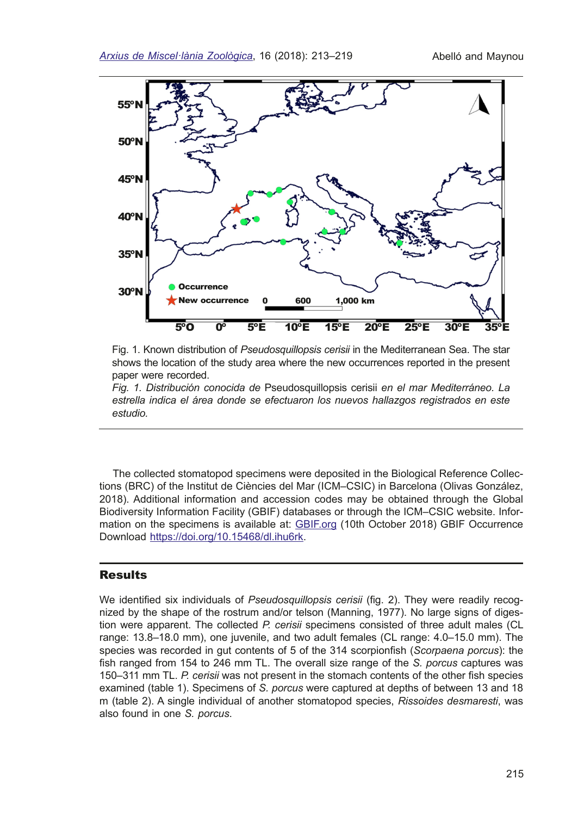

Fig. 1. Known distribution of *Pseudosquillopsis cerisii* in the Mediterranean Sea. The star shows the location of the study area where the new occurrences reported in the present paper were recorded.

*Fig. 1. Distribución conocida de* Pseudosquillopsis cerisii *en el mar Mediterráneo. La estrella indica el área donde se efectuaron los nuevos hallazgos registrados en este estudio.* 

The collected stomatopod specimens were deposited in the Biological Reference Collections (BRC) of the Institut de Ciències del Mar (ICM–CSIC) in Barcelona (Olivas González, 2018). Additional information and accession codes may be obtained through the Global Biodiversity Information Facility (GBIF) databases or through the ICM–CSIC website. Information on the specimens is available at: [GBIF.org](https://www.gbif.org/) (10th October 2018) GBIF Occurrence Download [https://doi.org/10.15468/dl.ihu6rk](https://www.gbif.org/dataset/1d743188-1e65-4d99-a814-fa3fd51f1490).

# Results

We identified six individuals of *Pseudosquillopsis cerisii* (fig. 2). They were readily recognized by the shape of the rostrum and/or telson (Manning, 1977). No large signs of digestion were apparent. The collected *P. cerisii* specimens consisted of three adult males (CL range: 13.8–18.0 mm), one juvenile, and two adult females (CL range: 4.0–15.0 mm). The species was recorded in gut contents of 5 of the 314 scorpionfsh (*Scorpaena porcus*): the fish ranged from 154 to 246 mm TL. The overall size range of the *S. porcus* captures was 150–311 mm TL. *P. cerisii* was not present in the stomach contents of the other fsh species examined (table 1). Specimens of *S. porcus* were captured at depths of between 13 and 18 m (table 2). A single individual of another stomatopod species, *Rissoides desmaresti*, was also found in one *S. porcus*.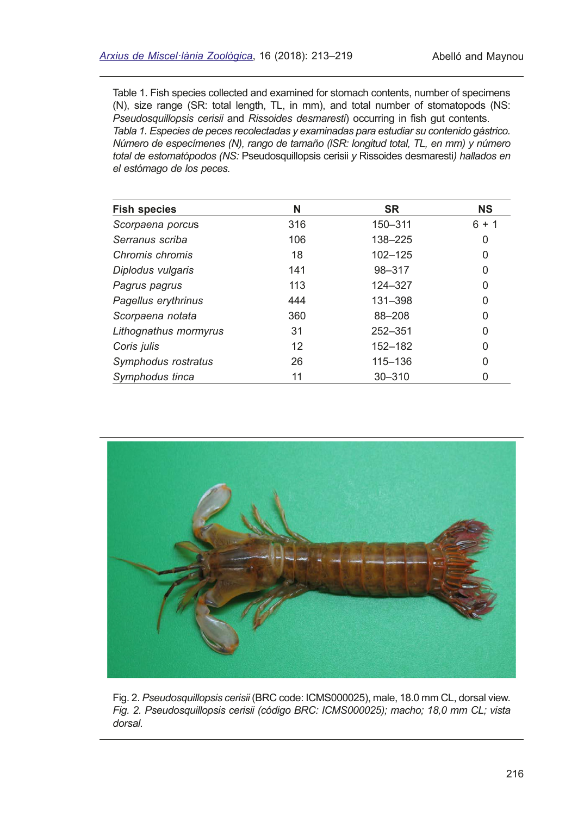Table 1. Fish species collected and examined for stomach contents, number of specimens (N), size range (SR: total length, TL, in mm), and total number of stomatopods (NS: *Pseudosquillopsis cerisii* and *Rissoides desmaresti*) occurring in fish gut contents. *Tabla 1. Especies de peces recolectadas y examinadas para estudiar su contenido gástrico. Número de especímenes (N), rango de tamaño (lSR: longitud total, TL, en mm) y número total de estomatópodos (NS:* Pseudosquillopsis cerisii *y* Rissoides desmaresti*) hallados en el estómago de los peces.*

| <b>Fish species</b>   | N   | <b>SR</b>   | <b>NS</b> |
|-----------------------|-----|-------------|-----------|
| Scorpaena porcus      | 316 | 150-311     | $6 + 1$   |
| Serranus scriba       | 106 | 138-225     | 0         |
| Chromis chromis       | 18  | $102 - 125$ | 0         |
| Diplodus vulgaris     | 141 | 98-317      | 0         |
| Pagrus pagrus         | 113 | 124-327     | 0         |
| Pagellus erythrinus   | 444 | 131-398     | 0         |
| Scorpaena notata      | 360 | 88-208      | 0         |
| Lithognathus mormyrus | 31  | 252-351     | 0         |
| Coris julis           | 12  | 152-182     | 0         |
| Symphodus rostratus   | 26  | 115-136     | 0         |
| Symphodus tinca       | 11  | $30 - 310$  | 0         |



Fig. 2. *Pseudosquillopsis cerisii* (BRC code: ICMS000025), male, 18.0 mm CL, dorsal view. *Fig. 2. Pseudosquillopsis cerisii (código BRC: ICMS000025); macho; 18,0 mm CL; vista dorsal.*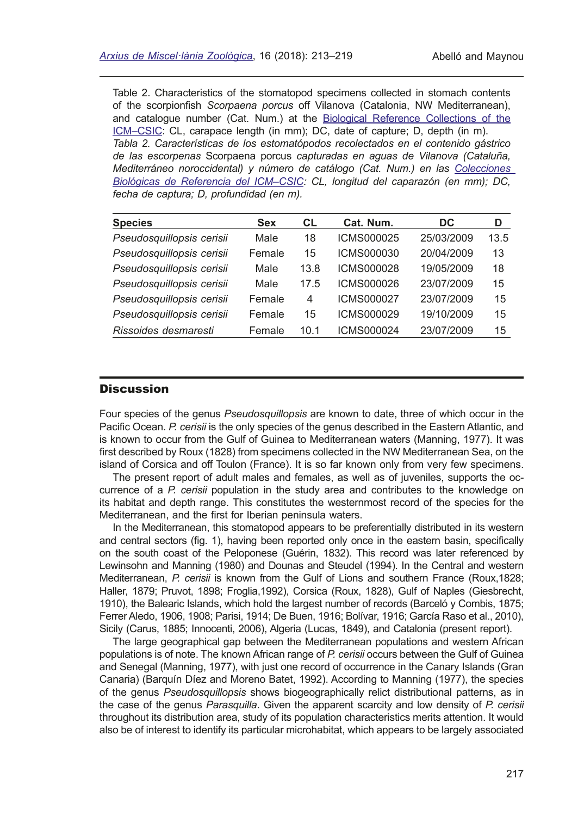Table 2. Characteristics of the stomatopod specimens collected in stomach contents of the scorpionfsh *Scorpaena porcus* off Vilanova (Catalonia, NW Mediterranean), and catalogue number (Cat. Num.) at the [Biological Reference Collections of the](https://www.gbif.org/dataset/1d743188-1e65-4d99-a814-fa3fd51f1490) [ICM–CSIC:](https://www.gbif.org/dataset/1d743188-1e65-4d99-a814-fa3fd51f1490) CL, carapace length (in mm); DC, date of capture; D, depth (in m). *Tabla 2. Características de los estomatópodos recolectados en el contenido gástrico de las escorpenas* Scorpaena porcus *capturadas en aguas de Vilanova (Cataluña, Mediterráneo noroccidental) y número de catálogo (Cat. Num.) en las [Colecciones](https://www.gbif.org/dataset/1d743188-1e65-4d99-a814-fa3fd51f1490)  [Biológicas de Referencia del ICM–CSIC:](https://www.gbif.org/dataset/1d743188-1e65-4d99-a814-fa3fd51f1490) CL, longitud del caparazón (en mm); DC, fecha de captura; D, profundidad (en m).*

| <b>Species</b>            | <b>Sex</b> | <b>CL</b> | Cat. Num.         | DC.        | D    |
|---------------------------|------------|-----------|-------------------|------------|------|
| Pseudosquillopsis cerisii | Male       | 18        | ICMS000025        | 25/03/2009 | 13.5 |
| Pseudosquillopsis cerisii | Female     | 15        | ICMS000030        | 20/04/2009 | 13   |
| Pseudosquillopsis cerisii | Male       | 13.8      | <b>ICMS000028</b> | 19/05/2009 | 18   |
| Pseudosquillopsis cerisii | Male       | 17.5      | ICMS000026        | 23/07/2009 | 15   |
| Pseudosquillopsis cerisii | Female     | 4         | ICMS000027        | 23/07/2009 | 15   |
| Pseudosquillopsis cerisii | Female     | 15        | ICMS000029        | 19/10/2009 | 15   |
| Rissoides desmaresti      | Female     | 10.1      | ICMS000024        | 23/07/2009 | 15   |

## **Discussion**

Four species of the genus *Pseudosquillopsis* are known to date, three of which occur in the Pacifc Ocean. *P. cerisii* is the only species of the genus described in the Eastern Atlantic, and is known to occur from the Gulf of Guinea to Mediterranean waters (Manning, 1977). It was frst described by Roux (1828) from specimens collected in the NW Mediterranean Sea, on the island of Corsica and off Toulon (France). It is so far known only from very few specimens.

The present report of adult males and females, as well as of juveniles, supports the occurrence of a *P. cerisii* population in the study area and contributes to the knowledge on its habitat and depth range. This constitutes the westernmost record of the species for the Mediterranean, and the first for Iberian peninsula waters.

In the Mediterranean, this stomatopod appears to be preferentially distributed in its western and central sectors (fg. 1), having been reported only once in the eastern basin, specifcally on the south coast of the Peloponese (Guérin, 1832). This record was later referenced by Lewinsohn and Manning (1980) and Dounas and Steudel (1994). In the Central and western Mediterranean, *P. cerisii* is known from the Gulf of Lions and southern France (Roux,1828; Haller, 1879; Pruvot, 1898; Froglia,1992), Corsica (Roux, 1828), Gulf of Naples (Giesbrecht, 1910), the Balearic Islands, which hold the largest number of records (Barceló y Combis, 1875; Ferrer Aledo, 1906, 1908; Parisi, 1914; De Buen, 1916; Bolívar, 1916; García Raso et al., 2010), Sicily (Carus, 1885; Innocenti, 2006), Algeria (Lucas, 1849), and Catalonia (present report).

The large geographical gap between the Mediterranean populations and western African populations is of note. The known African range of *P. cerisii* occurs between the Gulf of Guinea and Senegal (Manning, 1977), with just one record of occurrence in the Canary Islands (Gran Canaria) (Barquín Díez and Moreno Batet, 1992). According to Manning (1977), the species of the genus *Pseudosquillopsis* shows biogeographically relict distributional patterns, as in the case of the genus *Parasquilla*. Given the apparent scarcity and low density of *P. cerisii* throughout its distribution area, study of its population characteristics merits attention. It would also be of interest to identify its particular microhabitat, which appears to be largely associated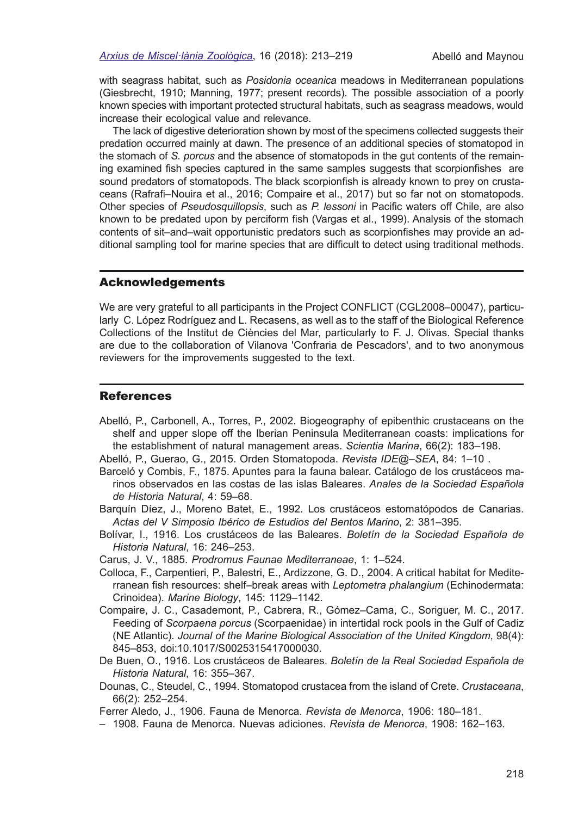with seagrass habitat, such as *Posidonia oceanica* meadows in Mediterranean populations (Giesbrecht, 1910; Manning, 1977; present records). The possible association of a poorly known species with important protected structural habitats, such as seagrass meadows, would increase their ecological value and relevance.

The lack of digestive deterioration shown by most of the specimens collected suggests their predation occurred mainly at dawn. The presence of an additional species of stomatopod in the stomach of *S. porcus* and the absence of stomatopods in the gut contents of the remaining examined fsh species captured in the same samples suggests that scorpionfshes are sound predators of stomatopods. The black scorpionfsh is already known to prey on crustaceans (Rafraf–Nouira et al., 2016; Compaire et al., 2017) but so far not on stomatopods. Other species of *Pseudosquillopsis*, such as *P. lessoni* in Pacifc waters off Chile, are also known to be predated upon by perciform fsh (Vargas et al., 1999). Analysis of the stomach contents of sit–and–wait opportunistic predators such as scorpionfshes may provide an additional sampling tool for marine species that are diffcult to detect using traditional methods.

#### Acknowledgements

We are very grateful to all participants in the Project CONFLICT (CGL2008–00047), particularly C. López Rodríguez and L. Recasens, as well as to the staff of the Biological Reference Collections of the Institut de Ciències del Mar, particularly to F. J. Olivas. Special thanks are due to the collaboration of Vilanova 'Confraria de Pescadors', and to two anonymous reviewers for the improvements suggested to the text.

### References

- Abelló, P., Carbonell, A., Torres, P., 2002. Biogeography of epibenthic crustaceans on the shelf and upper slope off the Iberian Peninsula Mediterranean coasts: implications for the establishment of natural management areas. *Scientia Marina*, 66(2): 183–198.
- Abelló, P., Guerao, G., 2015. Orden Stomatopoda. *Revista IDE@–SEA*, 84: 1–10 .
- Barceló y Combis, F., 1875. Apuntes para la fauna balear. Catálogo de los crustáceos marinos observados en las costas de las islas Baleares. *Anales de la Sociedad Española de Historia Natural*, 4: 59–68.
- Barquín Díez, J., Moreno Batet, E., 1992. Los crustáceos estomatópodos de Canarias. *Actas del V Simposio Ibérico de Estudios del Bentos Marino*, 2: 381–395.
- Bolívar, I., 1916. Los crustáceos de las Baleares. *Boletín de la Sociedad Española de Historia Natural*, 16: 246–253.
- Carus, J. V., 1885. *Prodromus Faunae Mediterraneae*, 1: 1–524.
- Colloca, F., Carpentieri, P., Balestri, E., Ardizzone, G. D., 2004. A critical habitat for Mediterranean fsh resources: shelf–break areas with *Leptometra phalangium* (Echinodermata: Crinoidea). *Marine Biology*, 145: 1129–1142.
- Compaire, J. C., Casademont, P., Cabrera, R., Gómez–Cama, C., Soriguer, M. C., 2017. Feeding of *Scorpaena porcus* (Scorpaenidae) in intertidal rock pools in the Gulf of Cadiz (NE Atlantic). *Journal of the Marine Biological Association of the United Kingdom*, 98(4): 845–853, doi:10.1017/S0025315417000030.
- De Buen, O., 1916. Los crustáceos de Baleares. *Boletín de la Real Sociedad Española de Historia Natural*, 16: 355–367.
- Dounas, C., Steudel, C., 1994. Stomatopod crustacea from the island of Crete. *Crustaceana*, 66(2): 252–254.
- Ferrer Aledo, J., 1906. Fauna de Menorca. *Revista de Menorca*, 1906: 180–181.
- 1908. Fauna de Menorca. Nuevas adiciones. *Revista de Menorca*, 1908: 162–163.